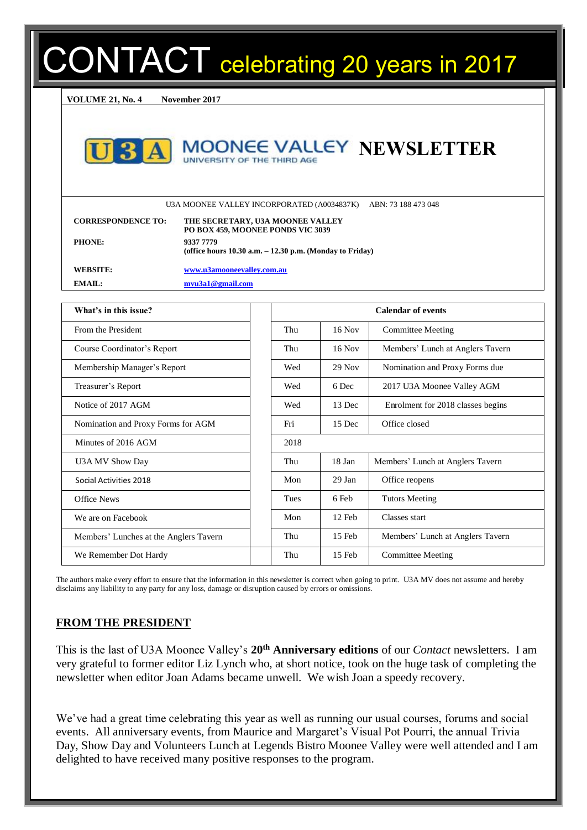# DNTACT celebrating 20 years in 2017

**VOLUME 21, No. 4 November 2017**



#### **MOONEE VALLEY NEWSLETTER** UNIVERSITY OF THE THIRD AGE

U3A MOONEE VALLEY INCORPORATED (A0034837K) ABN: 73 188 473 048

| <b>CORRESPONDENCE TO:</b> | THE SECRETARY, U3A MOONEE VALLEY<br>PO BOX 459, MOONEE PONDS VIC 3039     |
|---------------------------|---------------------------------------------------------------------------|
| <b>PHONE:</b>             | 9337 7779<br>(office hours $10.30$ a.m. $- 12.30$ p.m. (Monday to Friday) |
| WEBSITE:                  | www.u3amooneevalley.com.au                                                |
| $EMAH$ :                  | mvu3a1@gmail.com                                                          |

| What's in this issue?                  |      |          | <b>Calendar of events</b>         |
|----------------------------------------|------|----------|-----------------------------------|
| From the President                     | Thu  | $16$ Nov | <b>Committee Meeting</b>          |
| Course Coordinator's Report            | Thu  | $16$ Nov | Members' Lunch at Anglers Tavern  |
| Membership Manager's Report            | Wed  | $29$ Nov | Nomination and Proxy Forms due    |
| Treasurer's Report                     | Wed  | 6 Dec    | 2017 U3A Moonee Valley AGM        |
| Notice of 2017 AGM                     | Wed  | 13 Dec   | Enrolment for 2018 classes begins |
| Nomination and Proxy Forms for AGM     | Fri  | 15 Dec   | Office closed                     |
| Minutes of 2016 AGM                    | 2018 |          |                                   |
| U3A MV Show Day                        | Thu  | 18 Jan   | Members' Lunch at Anglers Tavern  |
| Social Activities 2018                 | Mon  | 29 Jan   | Office reopens                    |
| <b>Office News</b>                     | Tues | 6 Feb    | <b>Tutors Meeting</b>             |
| We are on Facebook                     | Mon  | 12 Feb   | Classes start                     |
| Members' Lunches at the Anglers Tavern | Thu  | 15 Feb   | Members' Lunch at Anglers Tavern  |
| We Remember Dot Hardy                  | Thu  | $15$ Feb | <b>Committee Meeting</b>          |

The authors make every effort to ensure that the information in this newsletter is correct when going to print. U3A MV does not assume and hereby disclaims any liability to any party for any loss, damage or disruption caused by errors or omissions.

#### **FROM THE PRESIDENT**

This is the last of U3A Moonee Valley's **20th Anniversary editions** of our *Contact* newsletters. I am very grateful to former editor Liz Lynch who, at short notice, took on the huge task of completing the newsletter when editor Joan Adams became unwell. We wish Joan a speedy recovery.

We've had a great time celebrating this year as well as running our usual courses, forums and social events. All anniversary events, from Maurice and Margaret's Visual Pot Pourri, the annual Trivia Day, Show Day and Volunteers Lunch at Legends Bistro Moonee Valley were well attended and I am delighted to have received many positive responses to the program.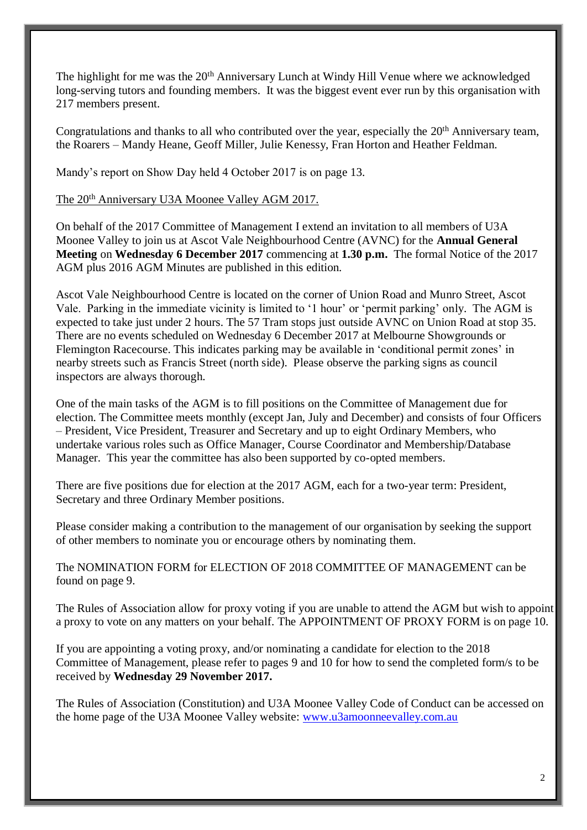The highlight for me was the 20<sup>th</sup> Anniversary Lunch at Windy Hill Venue where we acknowledged long-serving tutors and founding members. It was the biggest event ever run by this organisation with 217 members present.

Congratulations and thanks to all who contributed over the year, especially the 20<sup>th</sup> Anniversary team, the Roarers – Mandy Heane, Geoff Miller, Julie Kenessy, Fran Horton and Heather Feldman.

Mandy's report on Show Day held 4 October 2017 is on page 13.

#### The 20th Anniversary U3A Moonee Valley AGM 2017.

On behalf of the 2017 Committee of Management I extend an invitation to all members of U3A Moonee Valley to join us at Ascot Vale Neighbourhood Centre (AVNC) for the **Annual General Meeting** on **Wednesday 6 December 2017** commencing at **1.30 p.m.** The formal Notice of the 2017 AGM plus 2016 AGM Minutes are published in this edition.

Ascot Vale Neighbourhood Centre is located on the corner of Union Road and Munro Street, Ascot Vale. Parking in the immediate vicinity is limited to '1 hour' or 'permit parking' only. The AGM is expected to take just under 2 hours. The 57 Tram stops just outside AVNC on Union Road at stop 35. There are no events scheduled on Wednesday 6 December 2017 at Melbourne Showgrounds or Flemington Racecourse. This indicates parking may be available in 'conditional permit zones' in nearby streets such as Francis Street (north side). Please observe the parking signs as council inspectors are always thorough.

One of the main tasks of the AGM is to fill positions on the Committee of Management due for election. The Committee meets monthly (except Jan, July and December) and consists of four Officers – President, Vice President, Treasurer and Secretary and up to eight Ordinary Members, who undertake various roles such as Office Manager, Course Coordinator and Membership/Database Manager. This year the committee has also been supported by co-opted members.

There are five positions due for election at the 2017 AGM, each for a two-year term: President, Secretary and three Ordinary Member positions.

Please consider making a contribution to the management of our organisation by seeking the support of other members to nominate you or encourage others by nominating them.

The NOMINATION FORM for ELECTION OF 2018 COMMITTEE OF MANAGEMENT can be found on page 9.

The Rules of Association allow for proxy voting if you are unable to attend the AGM but wish to appoint a proxy to vote on any matters on your behalf. The APPOINTMENT OF PROXY FORM is on page 10.

If you are appointing a voting proxy, and/or nominating a candidate for election to the 2018 Committee of Management, please refer to pages 9 and 10 for how to send the completed form/s to be received by **Wednesday 29 November 2017.**

The Rules of Association (Constitution) and U3A Moonee Valley Code of Conduct can be accessed on the home page of the U3A Moonee Valley website: [www.u3amoonneevalley.com.au](http://www.u3amoonneevalley.com.au/)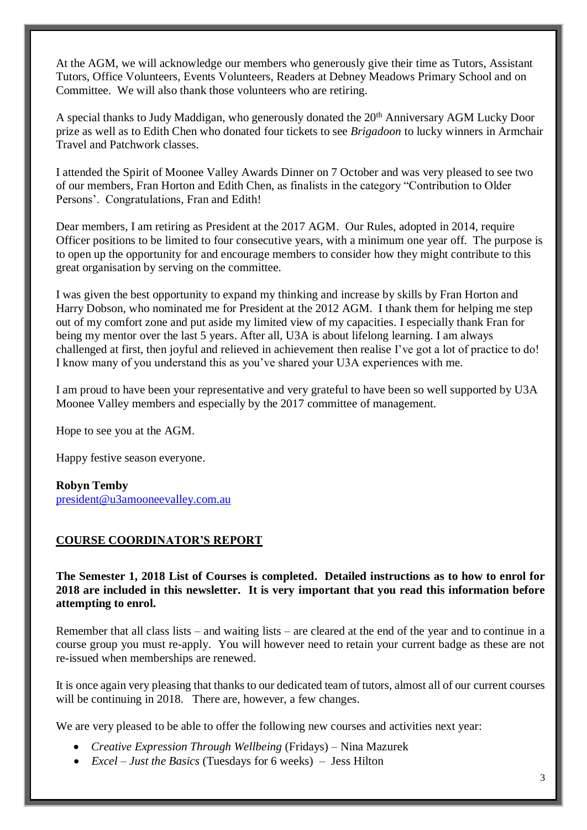At the AGM, we will acknowledge our members who generously give their time as Tutors, Assistant Tutors, Office Volunteers, Events Volunteers, Readers at Debney Meadows Primary School and on Committee. We will also thank those volunteers who are retiring.

A special thanks to Judy Maddigan, who generously donated the 20<sup>th</sup> Anniversary AGM Lucky Door prize as well as to Edith Chen who donated four tickets to see *Brigadoon* to lucky winners in Armchair Travel and Patchwork classes.

I attended the Spirit of Moonee Valley Awards Dinner on 7 October and was very pleased to see two of our members, Fran Horton and Edith Chen, as finalists in the category "Contribution to Older Persons'. Congratulations, Fran and Edith!

Dear members, I am retiring as President at the 2017 AGM. Our Rules, adopted in 2014, require Officer positions to be limited to four consecutive years, with a minimum one year off. The purpose is to open up the opportunity for and encourage members to consider how they might contribute to this great organisation by serving on the committee.

I was given the best opportunity to expand my thinking and increase by skills by Fran Horton and Harry Dobson, who nominated me for President at the 2012 AGM. I thank them for helping me step out of my comfort zone and put aside my limited view of my capacities. I especially thank Fran for being my mentor over the last 5 years. After all, U3A is about lifelong learning. I am always challenged at first, then joyful and relieved in achievement then realise I've got a lot of practice to do! I know many of you understand this as you've shared your U3A experiences with me.

I am proud to have been your representative and very grateful to have been so well supported by U3A Moonee Valley members and especially by the 2017 committee of management.

Hope to see you at the AGM.

Happy festive season everyone.

#### **Robyn Temby**

[president@u3amooneevalley.com.au](mailto:president@u3amooneevalley.com.au)

#### **COURSE COORDINATOR'S REPORT**

**The Semester 1, 2018 List of Courses is completed. Detailed instructions as to how to enrol for 2018 are included in this newsletter. It is very important that you read this information before attempting to enrol.** 

Remember that all class lists – and waiting lists – are cleared at the end of the year and to continue in a course group you must re-apply. You will however need to retain your current badge as these are not re-issued when memberships are renewed.

It is once again very pleasing that thanks to our dedicated team of tutors, almost all of our current courses will be continuing in 2018. There are, however, a few changes.

We are very pleased to be able to offer the following new courses and activities next year:

- *Creative Expression Through Wellbeing* (Fridays) Nina Mazurek
- *Excel Just the Basics* (Tuesdays for 6 weeks) Jess Hilton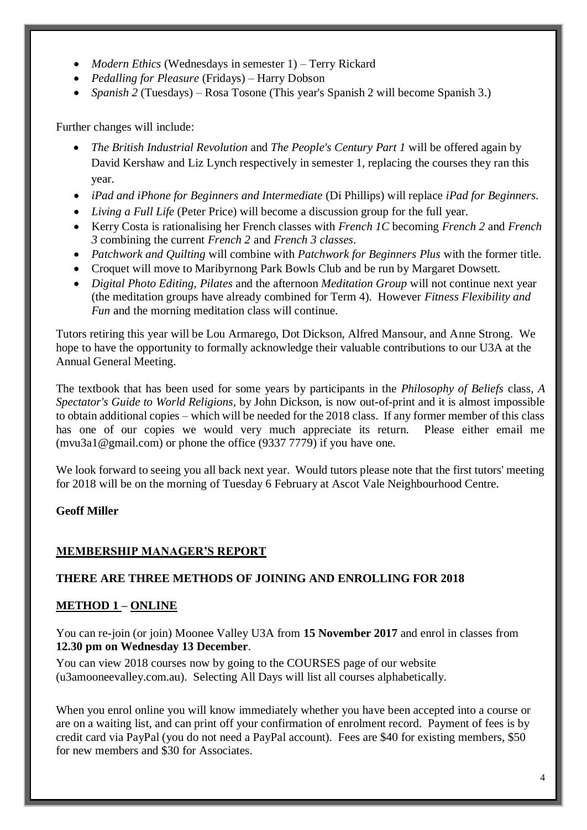- *Modern Ethics* (Wednesdays in semester 1) Terry Rickard
- *Pedalling for Pleasure* (Fridays) Harry Dobson
- *Spanish 2* (Tuesdays) Rosa Tosone (This year's Spanish 2 will become Spanish 3.)

Further changes will include:

- *The British Industrial Revolution* and *The People's Century Part 1* will be offered again by David Kershaw and Liz Lynch respectively in semester 1, replacing the courses they ran this year.
- *iPad and iPhone for Beginners and Intermediate* (Di Phillips) will replace *iPad for Beginners.*
- *Living a Full Life* (Peter Price) will become a discussion group for the full year.
- Kerry Costa is rationalising her French classes with *French 1C* becoming *French 2* and *French 3* combining the current *French 2* and *French 3 classes*.
- *Patchwork and Quilting* will combine with *Patchwork for Beginners Plus* with the former title.
- Croquet will move to Maribyrnong Park Bowls Club and be run by Margaret Dowsett.
- *Digital Photo Editing*, *Pilates* and the afternoon *Meditation Group* will not continue next year (the meditation groups have already combined for Term 4). However *Fitness Flexibility and Fun* and the morning meditation class will continue.

Tutors retiring this year will be Lou Armarego, Dot Dickson, Alfred Mansour, and Anne Strong. We hope to have the opportunity to formally acknowledge their valuable contributions to our U3A at the Annual General Meeting.

The textbook that has been used for some years by participants in the *Philosophy of Beliefs* class*, A Spectator's Guide to World Religions,* by John Dickson, is now out-of-print and it is almost impossible to obtain additional copies – which will be needed for the 2018 class. If any former member of this class has one of our copies we would very much appreciate its return. Please either email me (mvu3a1@gmail.com) or phone the office (9337 7779) if you have one.

We look forward to seeing you all back next year. Would tutors please note that the first tutors' meeting for 2018 will be on the morning of Tuesday 6 February at Ascot Vale Neighbourhood Centre.

#### **Geoff Miller**

# **MEMBERSHIP MANAGER'S REPORT**

# **THERE ARE THREE METHODS OF JOINING AND ENROLLING FOR 2018**

#### **METHOD 1 – ONLINE**

You can re-join (or join) Moonee Valley U3A from **15 November 2017** and enrol in classes from **12.30 pm on Wednesday 13 December**.

You can view 2018 courses now by going to the COURSES page of our website (u3amooneevalley.com.au). Selecting All Days will list all courses alphabetically.

When you enrol online you will know immediately whether you have been accepted into a course or are on a waiting list, and can print off your confirmation of enrolment record. Payment of fees is by credit card via PayPal (you do not need a PayPal account). Fees are \$40 for existing members, \$50 for new members and \$30 for Associates.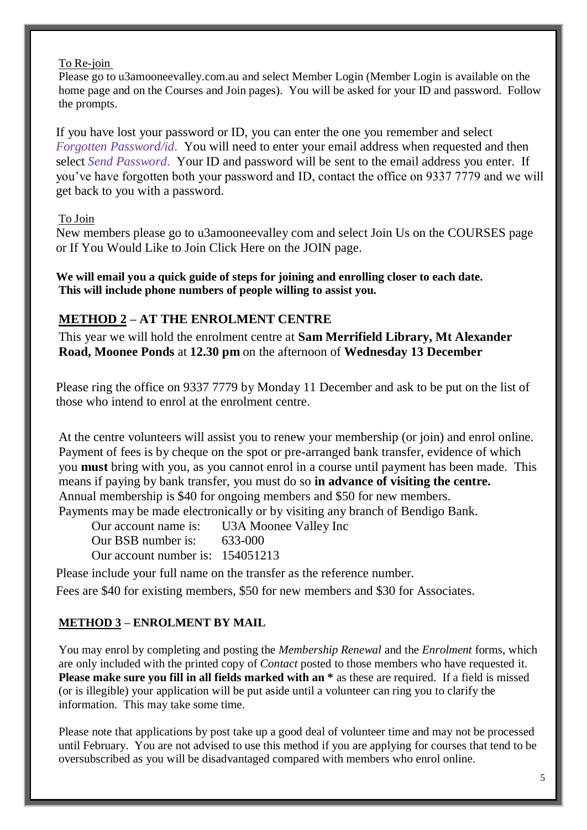#### To Re-join

Please go to u3amooneevalley.com.au and select Member Login (Member Login is available on the home page and on the Courses and Join pages). You will be asked for your ID and password. Follow the prompts.

If you have lost your password or ID, you can enter the one you remember and select *Forgotten Password/id*. You will need to enter your email address when requested and then select *Send Password*. Your ID and password will be sent to the email address you enter. If you've have forgotten both your password and ID, contact the office on 9337 7779 and we will get back to you with a password.

#### To Join

New members please go to u3amooneevalley com and select Join Us on the COURSES page or If You Would Like to Join Click Here on the JOIN page.

**We will email you a quick guide of steps for joining and enrolling closer to each date. This will include phone numbers of people willing to assist you.**

# **METHOD 2 – AT THE ENROLMENT CENTRE**

This year we will hold the enrolment centre at **Sam Merrifield Library, Mt Alexander Road, Moonee Ponds** at **12.30 pm** on the afternoon of **Wednesday 13 December**

Please ring the office on 9337 7779 by Monday 11 December and ask to be put on the list of those who intend to enrol at the enrolment centre.

At the centre volunteers will assist you to renew your membership (or join) and enrol online. Payment of fees is by cheque on the spot or pre-arranged bank transfer, evidence of which you **must** bring with you, as you cannot enrol in a course until payment has been made. This means if paying by bank transfer, you must do so **in advance of visiting the centre.** Annual membership is \$40 for ongoing members and \$50 for new members. Payments may be made electronically or by visiting any branch of Bendigo Bank.

Our account name is: U3A Moonee Valley Inc Our BSB number is: 633-000 Our account number is: 154051213

Please include your full name on the transfer as the reference number. Fees are \$40 for existing members, \$50 for new members and \$30 for Associates.

# **METHOD 3 – ENROLMENT BY MAIL**

You may enrol by completing and posting the *Membership Renewal* and the *Enrolment* forms, which are only included with the printed copy of *Contact* posted to those members who have requested it. **Please make sure you fill in all fields marked with an \*** as these are required. If a field is missed (or is illegible) your application will be put aside until a volunteer can ring you to clarify the information. This may take some time.

Please note that applications by post take up a good deal of volunteer time and may not be processed until February. You are not advised to use this method if you are applying for courses that tend to be oversubscribed as you will be disadvantaged compared with members who enrol online.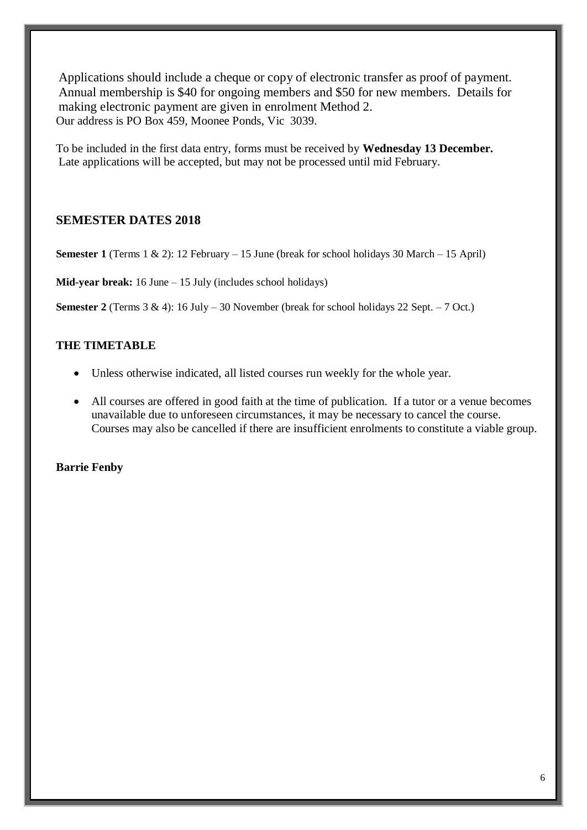Applications should include a cheque or copy of electronic transfer as proof of payment. Annual membership is \$40 for ongoing members and \$50 for new members. Details for making electronic payment are given in enrolment Method 2. Our address is PO Box 459, Moonee Ponds, Vic 3039.

To be included in the first data entry, forms must be received by **Wednesday 13 December.** Late applications will be accepted, but may not be processed until mid February.

# **SEMESTER DATES 2018**

**Semester 1** (Terms 1 & 2): 12 February – 15 June (break for school holidays 30 March – 15 April)

**Mid-year break:** 16 June – 15 July (includes school holidays)

**Semester 2** (Terms 3 & 4): 16 July – 30 November (break for school holidays 22 Sept. – 7 Oct.)

# **THE TIMETABLE**

- Unless otherwise indicated, all listed courses run weekly for the whole year.
- All courses are offered in good faith at the time of publication. If a tutor or a venue becomes unavailable due to unforeseen circumstances, it may be necessary to cancel the course. Courses may also be cancelled if there are insufficient enrolments to constitute a viable group.

#### **Barrie Fenby**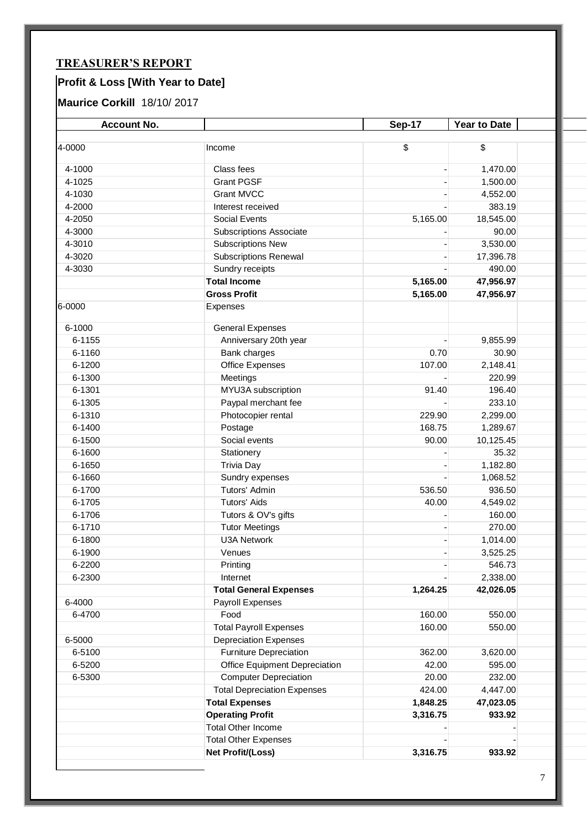# **TREASURER'S REPORT**

# **Profit & Loss [With Year to Date]**

# **Maurice Corkill** 18/10/ 2017

| <b>Account No.</b> |                                    | Sep-17   | Year to Date |  |
|--------------------|------------------------------------|----------|--------------|--|
|                    |                                    |          |              |  |
| 4-0000             | Income                             | \$       | \$           |  |
| 4-1000             | Class fees                         |          | 1,470.00     |  |
| 4-1025             | <b>Grant PGSF</b>                  |          | 1,500.00     |  |
| 4-1030             | <b>Grant MVCC</b>                  |          | 4,552.00     |  |
| 4-2000             | Interest received                  |          | 383.19       |  |
| 4-2050             | <b>Social Events</b>               | 5,165.00 | 18,545.00    |  |
| 4-3000             | <b>Subscriptions Associate</b>     |          | 90.00        |  |
| 4-3010             | <b>Subscriptions New</b>           |          | 3,530.00     |  |
| 4-3020             | <b>Subscriptions Renewal</b>       |          | 17,396.78    |  |
| 4-3030             | Sundry receipts                    |          | 490.00       |  |
|                    | <b>Total Income</b>                | 5,165.00 | 47,956.97    |  |
|                    | <b>Gross Profit</b>                | 5,165.00 | 47,956.97    |  |
| 6-0000             | Expenses                           |          |              |  |
| 6-1000             | <b>General Expenses</b>            |          |              |  |
| 6-1155             | Anniversary 20th year              |          | 9,855.99     |  |
| 6-1160             | Bank charges                       | 0.70     | 30.90        |  |
| 6-1200             | <b>Office Expenses</b>             | 107.00   | 2,148.41     |  |
| 6-1300             | Meetings                           |          | 220.99       |  |
| 6-1301             | MYU3A subscription                 | 91.40    | 196.40       |  |
| 6-1305             | Paypal merchant fee                |          | 233.10       |  |
| 6-1310             | Photocopier rental                 | 229.90   | 2,299.00     |  |
| 6-1400             | Postage                            | 168.75   | 1,289.67     |  |
| 6-1500             | Social events                      | 90.00    | 10,125.45    |  |
| 6-1600             | Stationery                         |          | 35.32        |  |
| 6-1650             | <b>Trivia Day</b>                  |          | 1,182.80     |  |
| 6-1660             | Sundry expenses                    |          | 1,068.52     |  |
| 6-1700             | Tutors' Admin                      | 536.50   | 936.50       |  |
| 6-1705             | <b>Tutors' Aids</b>                | 40.00    | 4,549.02     |  |
| 6-1706             | Tutors & OV's gifts                |          | 160.00       |  |
| 6-1710             | <b>Tutor Meetings</b>              |          | 270.00       |  |
| 6-1800             | <b>U3A Network</b>                 |          | 1,014.00     |  |
| 6-1900             | Venues                             |          | 3,525.25     |  |
| 6-2200             | Printing                           |          | 546.73       |  |
| 6-2300             | Internet                           |          | 2,338.00     |  |
|                    | <b>Total General Expenses</b>      | 1,264.25 | 42,026.05    |  |
| 6-4000             | Payroll Expenses                   |          |              |  |
| 6-4700             | Food                               | 160.00   | 550.00       |  |
|                    | <b>Total Payroll Expenses</b>      | 160.00   | 550.00       |  |
| 6-5000             | <b>Depreciation Expenses</b>       |          |              |  |
| 6-5100             | <b>Furniture Depreciation</b>      | 362.00   | 3,620.00     |  |
| 6-5200             | Office Equipment Depreciation      | 42.00    | 595.00       |  |
| 6-5300             | <b>Computer Depreciation</b>       | 20.00    | 232.00       |  |
|                    | <b>Total Depreciation Expenses</b> | 424.00   | 4,447.00     |  |
|                    | <b>Total Expenses</b>              | 1,848.25 | 47,023.05    |  |
|                    | <b>Operating Profit</b>            | 3,316.75 | 933.92       |  |
|                    | <b>Total Other Income</b>          |          |              |  |
|                    | <b>Total Other Expenses</b>        |          |              |  |
|                    | Net Profit/(Loss)                  | 3,316.75 | 933.92       |  |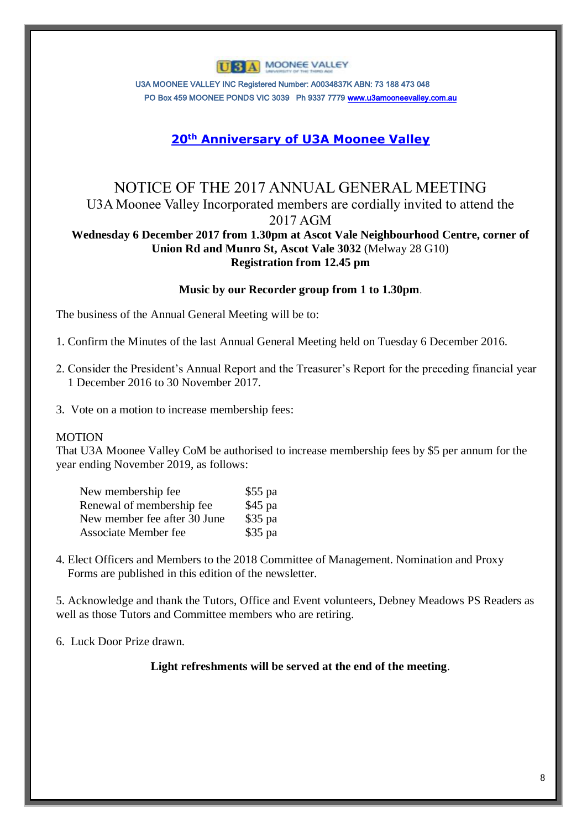# **U 3 A MOONEE VALLEY**

U3A MOONEE VALLEY INC Registered Number: A0034837K ABN: 73 188 473 048 PO Box 459 MOONEE PONDS VIC 3039 Ph 9337 777[9 www.u3amooneevalley.com.au](http://www.u3amooneevalley.com.au/)

# **20th Anniversary of U3A Moonee Valley**

# NOTICE OF THE 2017 ANNUAL GENERAL MEETING U3A Moonee Valley Incorporated members are cordially invited to attend the 2017 AGM

#### **Wednesday 6 December 2017 from 1.30pm at Ascot Vale Neighbourhood Centre, corner of Union Rd and Munro St, Ascot Vale 3032** (Melway 28 G10) **Registration from 12.45 pm**

#### **Music by our Recorder group from 1 to 1.30pm**.

The business of the Annual General Meeting will be to:

1. Confirm the Minutes of the last Annual General Meeting held on Tuesday 6 December 2016.

2. Consider the President's Annual Report and the Treasurer's Report for the preceding financial year 1 December 2016 to 30 November 2017.

3. Vote on a motion to increase membership fees:

#### **MOTION**

That U3A Moonee Valley CoM be authorised to increase membership fees by \$5 per annum for the year ending November 2019, as follows:

| New membership fee           | $$55$ pa |
|------------------------------|----------|
| Renewal of membership fee    | \$45 pa  |
| New member fee after 30 June | $$35$ pa |
| <b>Associate Member fee</b>  | $$35$ pa |

4. Elect Officers and Members to the 2018 Committee of Management. Nomination and Proxy Forms are published in this edition of the newsletter.

5. Acknowledge and thank the Tutors, Office and Event volunteers, Debney Meadows PS Readers as well as those Tutors and Committee members who are retiring.

6. Luck Door Prize drawn.

**Light refreshments will be served at the end of the meeting**.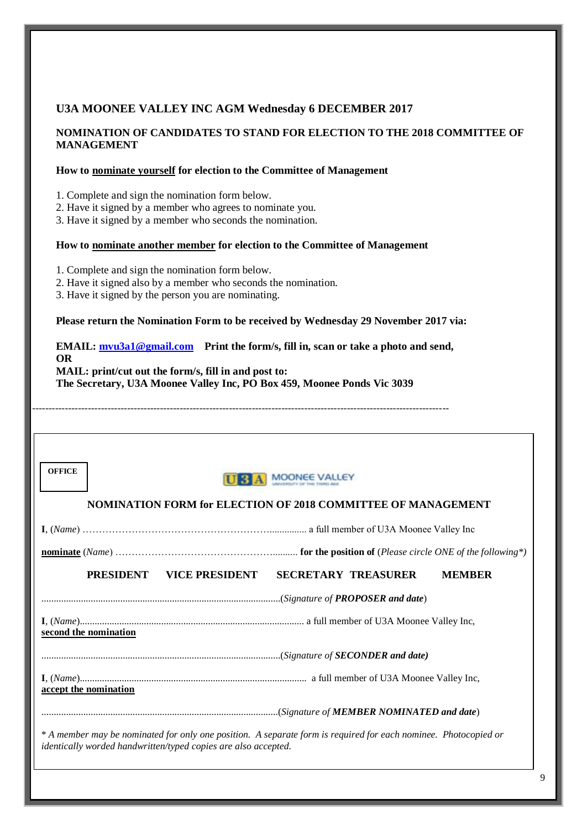#### **U3A MOONEE VALLEY INC AGM Wednesday 6 DECEMBER 2017**

#### **NOMINATION OF CANDIDATES TO STAND FOR ELECTION TO THE 2018 COMMITTEE OF MANAGEMENT**

#### **How to nominate yourself for election to the Committee of Management**

1. Complete and sign the nomination form below.

2. Have it signed by a member who agrees to nominate you.

3. Have it signed by a member who seconds the nomination.

#### **How to nominate another member for election to the Committee of Management**

1. Complete and sign the nomination form below.

2. Have it signed also by a member who seconds the nomination.

3. Have it signed by the person you are nominating.

#### **Please return the Nomination Form to be received by Wednesday 29 November 2017 via:**

#### **EMAIL: mvu3a1@gmail.com Print the form/s, fill in, scan or take a photo and send, OR MAIL: print/cut out the form/s, fill in and post to: The Secretary, U3A Moonee Valley Inc, PO Box 459, Moonee Ponds Vic 3039**

-------------------------------------------------------------------------------------------------------------------------------

| <b>OFFICE</b>                                                                                                                                                                     | A MOONEE VALLEY                             |  |
|-----------------------------------------------------------------------------------------------------------------------------------------------------------------------------------|---------------------------------------------|--|
| <b>NOMINATION FORM for ELECTION OF 2018 COMMITTEE OF MANAGEMENT</b>                                                                                                               |                                             |  |
|                                                                                                                                                                                   |                                             |  |
|                                                                                                                                                                                   |                                             |  |
| PRESIDENT<br>VICE PRESIDENT                                                                                                                                                       | <b>SECRETARY TREASURER</b><br><b>MEMBER</b> |  |
|                                                                                                                                                                                   |                                             |  |
| second the nomination                                                                                                                                                             |                                             |  |
|                                                                                                                                                                                   |                                             |  |
| accept the nomination                                                                                                                                                             |                                             |  |
|                                                                                                                                                                                   |                                             |  |
| * A member may be nominated for only one position. A separate form is required for each nominee. Photocopied or<br>identically worded handwritten/typed copies are also accepted. |                                             |  |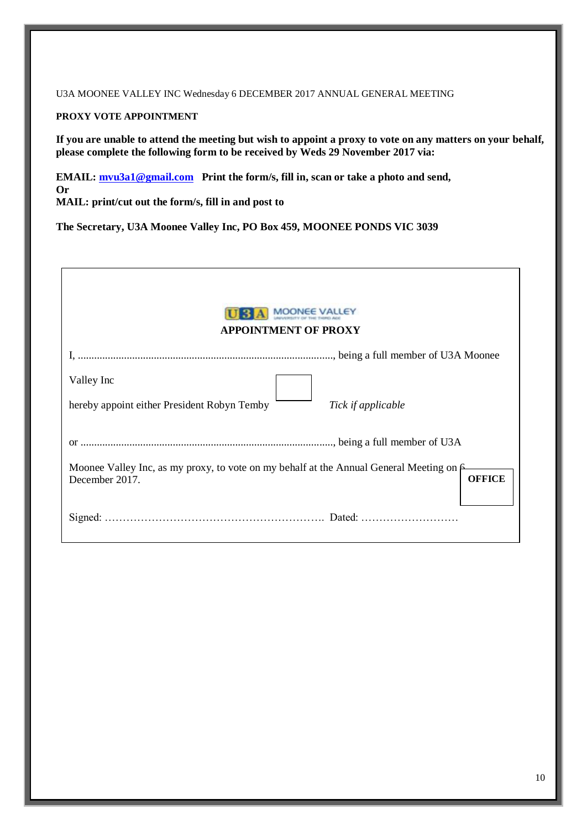U3A MOONEE VALLEY INC Wednesday 6 DECEMBER 2017 ANNUAL GENERAL MEETING

#### **PROXY VOTE APPOINTMENT**

**If you are unable to attend the meeting but wish to appoint a proxy to vote on any matters on your behalf, please complete the following form to be received by Weds 29 November 2017 via:**

**EMAIL: [mvu3a1@gmail.com](mailto:mvu3a1@gmail.com) Print the form/s, fill in, scan or take a photo and send, Or MAIL: print/cut out the form/s, fill in and post to**

**The Secretary, U3A Moonee Valley Inc, PO Box 459, MOONEE PONDS VIC 3039**

| MOONEE VALLEY<br><b>APPOINTMENT OF PROXY</b>                                                                                        |
|-------------------------------------------------------------------------------------------------------------------------------------|
|                                                                                                                                     |
| Valley Inc                                                                                                                          |
| hereby appoint either President Robyn Temby<br>Tick if applicable                                                                   |
|                                                                                                                                     |
| Moonee Valley Inc, as my proxy, to vote on my behalf at the Annual General Meeting on $\epsilon$<br><b>OFFICE</b><br>December 2017. |
|                                                                                                                                     |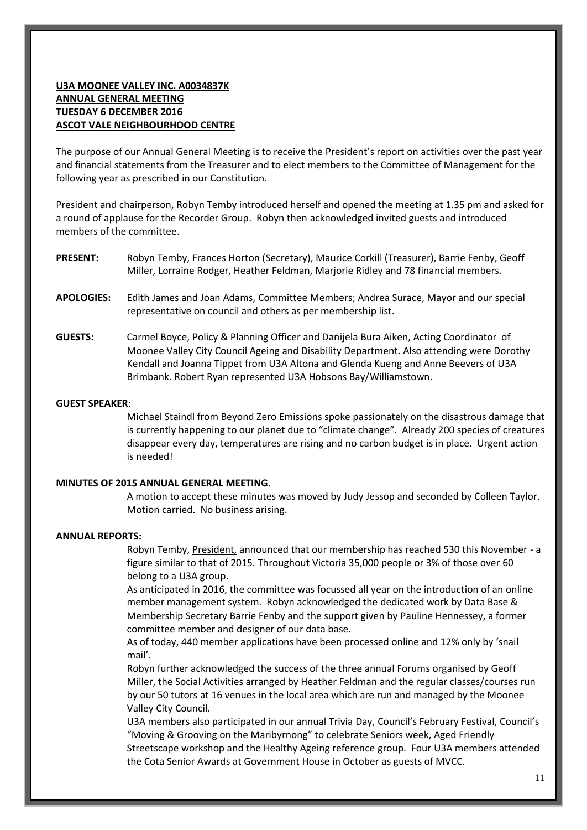#### **U3A MOONEE VALLEY INC. A0034837K ANNUAL GENERAL MEETING TUESDAY 6 DECEMBER 2016 ASCOT VALE NEIGHBOURHOOD CENTRE**

The purpose of our Annual General Meeting is to receive the President's report on activities over the past year and financial statements from the Treasurer and to elect members to the Committee of Management for the following year as prescribed in our Constitution.

President and chairperson, Robyn Temby introduced herself and opened the meeting at 1.35 pm and asked for a round of applause for the Recorder Group. Robyn then acknowledged invited guests and introduced members of the committee.

- **PRESENT:** Robyn Temby, Frances Horton (Secretary), Maurice Corkill (Treasurer), Barrie Fenby, Geoff Miller, Lorraine Rodger, Heather Feldman, Marjorie Ridley and 78 financial members.
- **APOLOGIES:** Edith James and Joan Adams, Committee Members; Andrea Surace, Mayor and our special representative on council and others as per membership list.
- **GUESTS:** Carmel Boyce, Policy & Planning Officer and Danijela Bura Aiken, Acting Coordinator of Moonee Valley City Council Ageing and Disability Department. Also attending were Dorothy Kendall and Joanna Tippet from U3A Altona and Glenda Kueng and Anne Beevers of U3A Brimbank. Robert Ryan represented U3A Hobsons Bay/Williamstown.

#### **GUEST SPEAKER**:

Michael Staindl from Beyond Zero Emissions spoke passionately on the disastrous damage that is currently happening to our planet due to "climate change". Already 200 species of creatures disappear every day, temperatures are rising and no carbon budget is in place. Urgent action is needed!

#### **MINUTES OF 2015 ANNUAL GENERAL MEETING**.

A motion to accept these minutes was moved by Judy Jessop and seconded by Colleen Taylor. Motion carried. No business arising.

#### **ANNUAL REPORTS:**

Robyn Temby, President, announced that our membership has reached 530 this November - a figure similar to that of 2015. Throughout Victoria 35,000 people or 3% of those over 60 belong to a U3A group.

As anticipated in 2016, the committee was focussed all year on the introduction of an online member management system. Robyn acknowledged the dedicated work by Data Base & Membership Secretary Barrie Fenby and the support given by Pauline Hennessey, a former committee member and designer of our data base.

As of today, 440 member applications have been processed online and 12% only by 'snail mail'.

Robyn further acknowledged the success of the three annual Forums organised by Geoff Miller, the Social Activities arranged by Heather Feldman and the regular classes/courses run by our 50 tutors at 16 venues in the local area which are run and managed by the Moonee Valley City Council.

U3A members also participated in our annual Trivia Day, Council's February Festival, Council's "Moving & Grooving on the Maribyrnong" to celebrate Seniors week, Aged Friendly Streetscape workshop and the Healthy Ageing reference group. Four U3A members attended the Cota Senior Awards at Government House in October as guests of MVCC.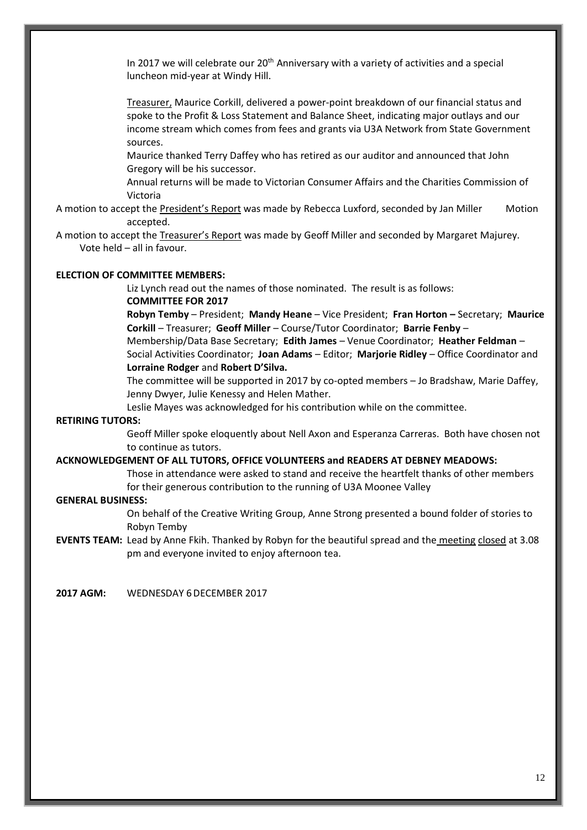In 2017 we will celebrate our  $20<sup>th</sup>$  Anniversary with a variety of activities and a special luncheon mid-year at Windy Hill.

Treasurer, Maurice Corkill, delivered a power-point breakdown of our financial status and spoke to the Profit & Loss Statement and Balance Sheet, indicating major outlays and our income stream which comes from fees and grants via U3A Network from State Government sources.

Maurice thanked Terry Daffey who has retired as our auditor and announced that John Gregory will be his successor.

Annual returns will be made to Victorian Consumer Affairs and the Charities Commission of Victoria

A motion to accept the President's Report was made by Rebecca Luxford, seconded by Jan Miller Motion accepted.

A motion to accept the Treasurer's Report was made by Geoff Miller and seconded by Margaret Majurey. Vote held – all in favour.

#### **ELECTION OF COMMITTEE MEMBERS:**

Liz Lynch read out the names of those nominated. The result is as follows: **COMMITTEE FOR 2017**

**Robyn Temby** – President; **Mandy Heane** – Vice President; **Fran Horton –** Secretary; **Maurice Corkill** – Treasurer; **Geoff Miller** – Course/Tutor Coordinator; **Barrie Fenby** –

Membership/Data Base Secretary; **Edith James** – Venue Coordinator; **Heather Feldman** – Social Activities Coordinator; **Joan Adams** – Editor; **Marjorie Ridley** – Office Coordinator and **Lorraine Rodger** and **Robert D'Silva.**

The committee will be supported in 2017 by co-opted members – Jo Bradshaw, Marie Daffey, Jenny Dwyer, Julie Kenessy and Helen Mather.

Leslie Mayes was acknowledged for his contribution while on the committee.

#### **RETIRING TUTORS:**

Geoff Miller spoke eloquently about Nell Axon and Esperanza Carreras. Both have chosen not to continue as tutors.

#### **ACKNOWLEDGEMENT OF ALL TUTORS, OFFICE VOLUNTEERS and READERS AT DEBNEY MEADOWS:**

Those in attendance were asked to stand and receive the heartfelt thanks of other members for their generous contribution to the running of U3A Moonee Valley

#### **GENERAL BUSINESS:**

On behalf of the Creative Writing Group, Anne Strong presented a bound folder of stories to Robyn Temby

**EVENTS TEAM:** Lead by Anne Fkih. Thanked by Robyn for the beautiful spread and the meeting closed at 3.08 pm and everyone invited to enjoy afternoon tea.

**2017 AGM:** WEDNESDAY 6DECEMBER 2017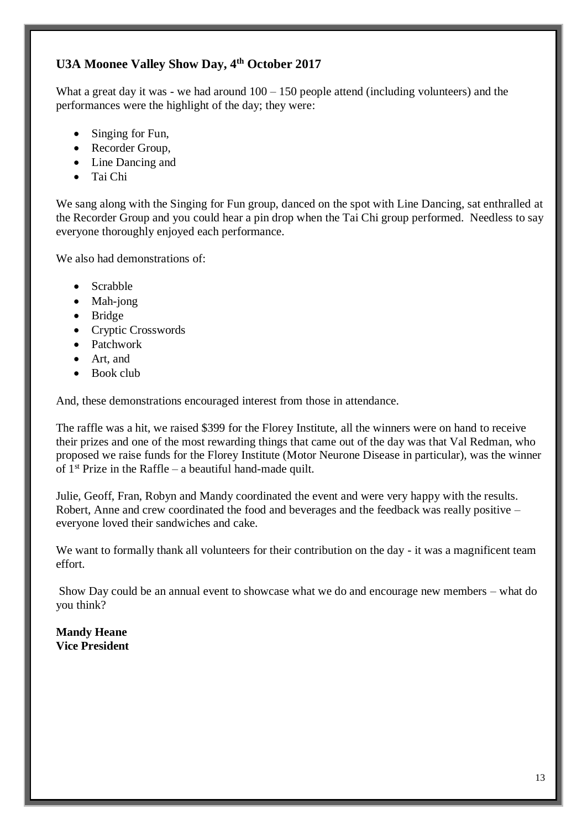# **U3A Moonee Valley Show Day, 4th October 2017**

What a great day it was - we had around  $100 - 150$  people attend (including volunteers) and the performances were the highlight of the day; they were:

- Singing for Fun,
- Recorder Group,
- Line Dancing and
- Tai Chi

We sang along with the Singing for Fun group, danced on the spot with Line Dancing, sat enthralled at the Recorder Group and you could hear a pin drop when the Tai Chi group performed. Needless to say everyone thoroughly enjoyed each performance.

We also had demonstrations of:

- Scrabble
- Mah-jong
- Bridge
- Cryptic Crosswords
- Patchwork
- Art, and
- Book club

And, these demonstrations encouraged interest from those in attendance.

The raffle was a hit, we raised \$399 for the Florey Institute, all the winners were on hand to receive their prizes and one of the most rewarding things that came out of the day was that Val Redman, who proposed we raise funds for the Florey Institute (Motor Neurone Disease in particular), was the winner of  $1<sup>st</sup>$  Prize in the Raffle – a beautiful hand-made quilt.

Julie, Geoff, Fran, Robyn and Mandy coordinated the event and were very happy with the results. Robert, Anne and crew coordinated the food and beverages and the feedback was really positive – everyone loved their sandwiches and cake.

We want to formally thank all volunteers for their contribution on the day - it was a magnificent team effort.

Show Day could be an annual event to showcase what we do and encourage new members – what do you think?

**Mandy Heane Vice President**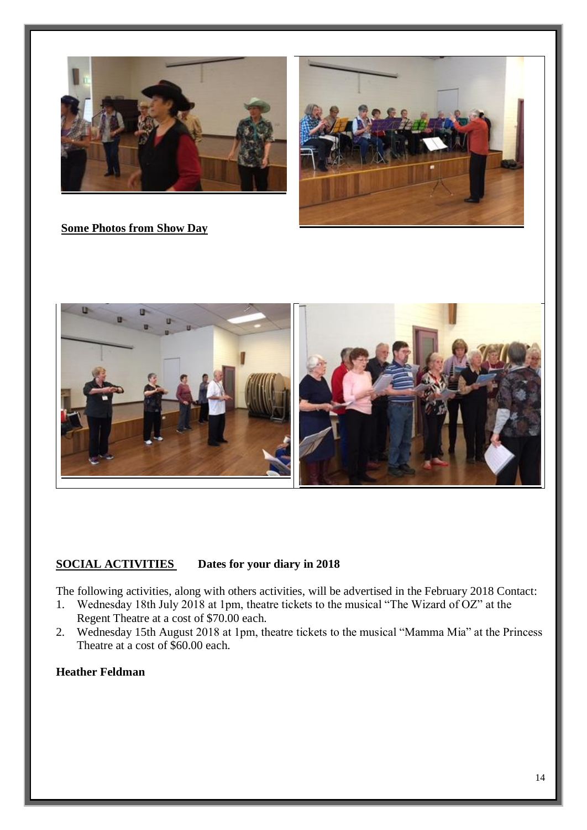



**Some Photos from Show Day**



# **SOCIAL ACTIVITIES Dates for your diary in 2018**

The following activities, along with others activities, will be advertised in the February 2018 Contact:

- 1. Wednesday 18th July 2018 at 1pm, theatre tickets to the musical "The Wizard of OZ" at the Regent Theatre at a cost of \$70.00 each.
- 2. Wednesday 15th August 2018 at 1pm, theatre tickets to the musical "Mamma Mia" at the Princess Theatre at a cost of \$60.00 each.

#### **Heather Feldman**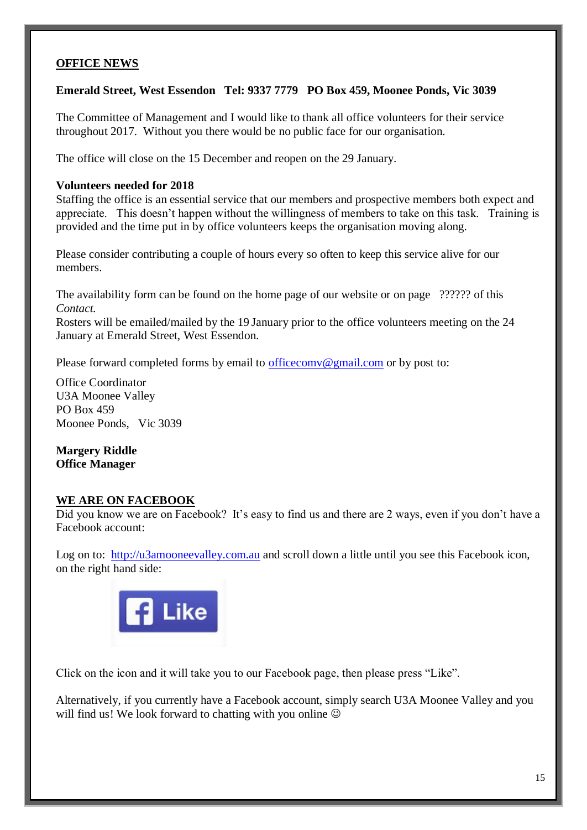#### **OFFICE NEWS**

**Emerald Street, West Essendon Tel: 9337 7779 PO Box 459, Moonee Ponds, Vic 3039**

The Committee of Management and I would like to thank all office volunteers for their service throughout 2017. Without you there would be no public face for our organisation.

The office will close on the 15 December and reopen on the 29 January.

#### **Volunteers needed for 2018**

Staffing the office is an essential service that our members and prospective members both expect and appreciate. This doesn't happen without the willingness of members to take on this task. Training is provided and the time put in by office volunteers keeps the organisation moving along.

Please consider contributing a couple of hours every so often to keep this service alive for our members.

The availability form can be found on the home page of our website or on page ?????? of this *Contact.*

Rosters will be emailed/mailed by the 19 January prior to the office volunteers meeting on the 24 January at Emerald Street, West Essendon.

Please forward completed forms by email to [officecomv@gmail.com](mailto:officecomv@gmail.com) or by post to:

Office Coordinator U3A Moonee Valley PO Box 459 Moonee Ponds, Vic 3039

**Margery Riddle Office Manager**

#### **WE ARE ON FACEBOOK**

Did you know we are on Facebook? It's easy to find us and there are 2 ways, even if you don't have a Facebook account:

Log on to: [http://u3amooneevalley.com.au](http://u3amooneevalley.com.au/) and scroll down a little until you see this Facebook icon, on the right hand side:



Click on the icon and it will take you to our Facebook page, then please press "Like".

Alternatively, if you currently have a Facebook account, simply search U3A Moonee Valley and you will find us! We look forward to chatting with you online  $\odot$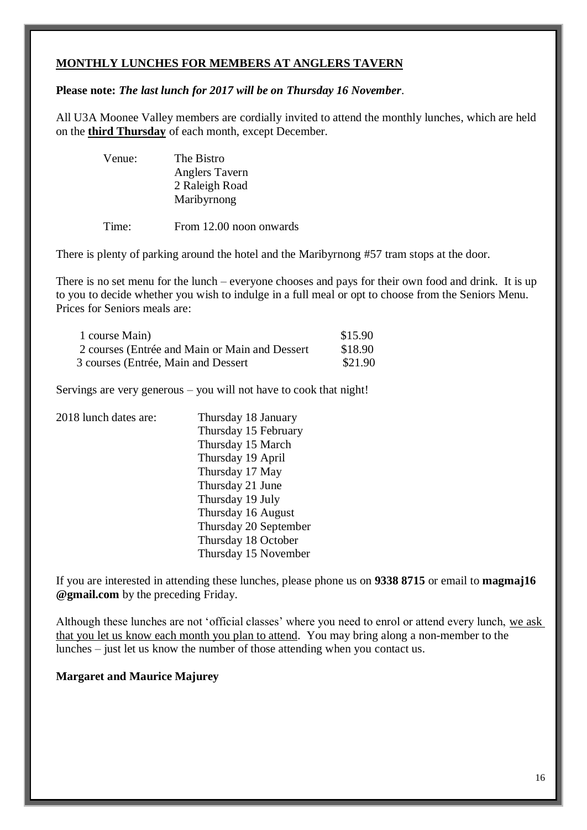### **MONTHLY LUNCHES FOR MEMBERS AT ANGLERS TAVERN**

#### **Please note:** *The last lunch for 2017 will be on Thursday 16 November*.

All U3A Moonee Valley members are cordially invited to attend the monthly lunches, which are held on the **third Thursday** of each month, except December.

| Venue: | The Bistro     |
|--------|----------------|
|        | Anglers Tavern |
|        | 2 Raleigh Road |
|        | Maribyrnong    |
|        |                |

Time: From 12.00 noon onwards

There is plenty of parking around the hotel and the Maribyrnong #57 tram stops at the door.

There is no set menu for the lunch – everyone chooses and pays for their own food and drink. It is up to you to decide whether you wish to indulge in a full meal or opt to choose from the Seniors Menu. Prices for Seniors meals are:

| 1 course Main)                                  | \$15.90 |
|-------------------------------------------------|---------|
| 2 courses (Entrée and Main or Main and Dessert) | \$18.90 |
| 3 courses (Entrée, Main and Dessert)            | \$21.90 |

Servings are very generous – you will not have to cook that night!

| 2018 lunch dates are: | Thursday 18 January   |
|-----------------------|-----------------------|
|                       | Thursday 15 February  |
|                       | Thursday 15 March     |
|                       | Thursday 19 April     |
|                       | Thursday 17 May       |
|                       | Thursday 21 June      |
|                       | Thursday 19 July      |
|                       | Thursday 16 August    |
|                       | Thursday 20 September |
|                       | Thursday 18 October   |
|                       | Thursday 15 November  |

If you are interested in attending these lunches, please phone us on **9338 8715** or email to **magmaj16 @gmail.com** by the preceding Friday.

Although these lunches are not 'official classes' where you need to enrol or attend every lunch, we ask that you let us know each month you plan to attend. You may bring along a non-member to the lunches – just let us know the number of those attending when you contact us.

#### **Margaret and Maurice Majurey**